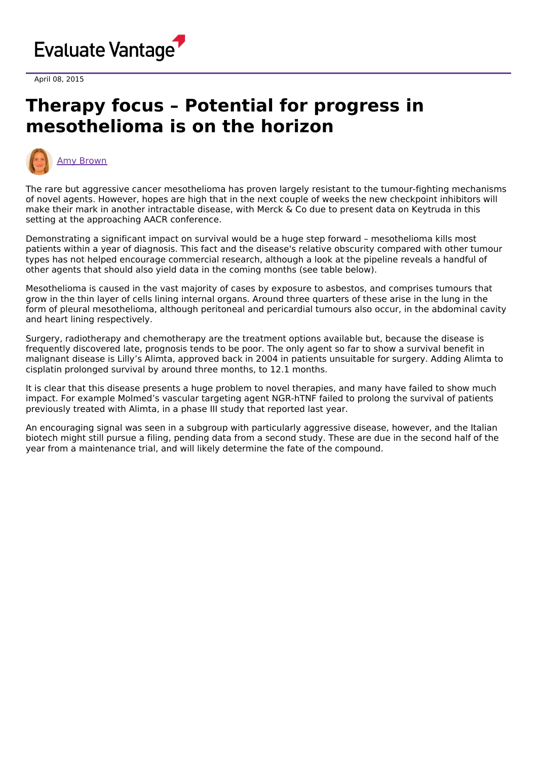

April 08, 2015

## **Therapy focus – Potential for progress in mesothelioma is on the horizon**



The rare but aggressive cancer mesothelioma has proven largely resistant to the tumour-fighting mechanisms of novel agents. However, hopes are high that in the next couple of weeks the new checkpoint inhibitors will make their mark in another intractable disease, with Merck & Co due to present data on Keytruda in this setting at the approaching AACR conference.

Demonstrating a significant impact on survival would be a huge step forward – mesothelioma kills most patients within a year of diagnosis. This fact and the disease's relative obscurity compared with other tumour types has not helped encourage commercial research, although a look at the pipeline reveals a handful of other agents that should also yield data in the coming months (see table below).

Mesothelioma is caused in the vast majority of cases by exposure to asbestos, and comprises tumours that grow in the thin layer of cells lining internal organs. Around three quarters of these arise in the lung in the form of pleural mesothelioma, although peritoneal and pericardial tumours also occur, in the abdominal cavity and heart lining respectively.

Surgery, radiotherapy and chemotherapy are the treatment options available but, because the disease is frequently discovered late, prognosis tends to be poor. The only agent so far to show a survival benefit in malignant disease is Lilly's Alimta, approved back in 2004 in patients unsuitable for surgery. Adding Alimta to cisplatin prolonged survival by around three months, to 12.1 months.

It is clear that this disease presents a huge problem to novel therapies, and many have failed to show much impact. For example Molmed's vascular targeting agent NGR-hTNF failed to prolong the survival of patients previously treated with Alimta, in a phase III study that reported last year.

An encouraging signal was seen in a subgroup with particularly aggressive disease, however, and the Italian biotech might still pursue a filing, pending data from a second study. These are due in the second half of the year from a maintenance trial, and will likely determine the fate of the compound.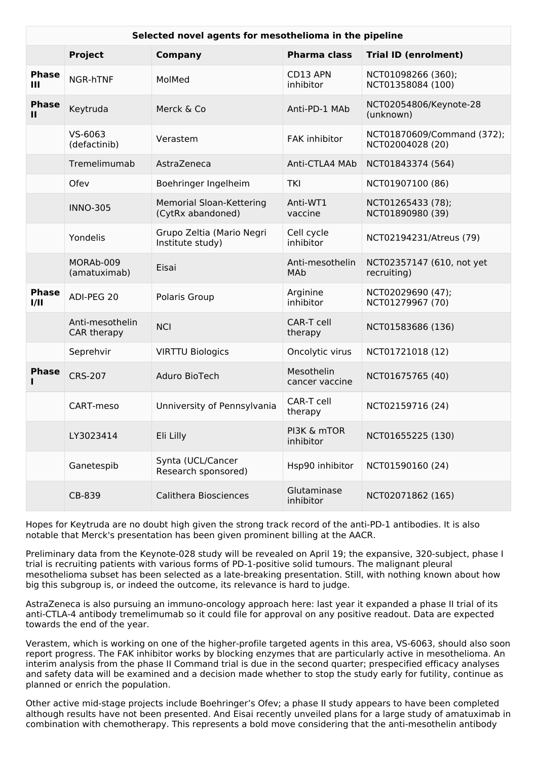| Selected novel agents for mesothelioma in the pipeline |                                |                                                      |                              |                                                |
|--------------------------------------------------------|--------------------------------|------------------------------------------------------|------------------------------|------------------------------------------------|
|                                                        | <b>Project</b>                 | <b>Company</b>                                       | <b>Pharma class</b>          | <b>Trial ID (enrolment)</b>                    |
| <b>Phase</b><br>Ш                                      | NGR-hTNF                       | MolMed                                               | CD13 APN<br>inhibitor        | NCT01098266 (360);<br>NCT01358084 (100)        |
| <b>Phase</b><br>$\mathbf{H}$                           | Keytruda                       | Merck & Co                                           | Anti-PD-1 MAb                | NCT02054806/Keynote-28<br>(unknown)            |
|                                                        | VS-6063<br>(defactinib)        | Verastem                                             | FAK inhibitor                | NCT01870609/Command (372);<br>NCT02004028 (20) |
|                                                        | Tremelimumab                   | AstraZeneca                                          | Anti-CTLA4 MAb               | NCT01843374 (564)                              |
|                                                        | Ofev                           | Boehringer Ingelheim                                 | TKI                          | NCT01907100 (86)                               |
|                                                        | <b>INNO-305</b>                | <b>Memorial Sloan-Kettering</b><br>(CytRx abandoned) | Anti-WT1<br>vaccine          | NCT01265433 (78);<br>NCT01890980 (39)          |
|                                                        | Yondelis                       | Grupo Zeltia (Mario Negri<br>Institute study)        | Cell cycle<br>inhibitor      | NCT02194231/Atreus (79)                        |
|                                                        | MORAb-009<br>(amatuximab)      | Eisai                                                | Anti-mesothelin<br>MAb       | NCT02357147 (610, not yet<br>recruiting)       |
| <b>Phase</b><br>1/11                                   | ADI-PEG 20                     | Polaris Group                                        | Arginine<br>inhibitor        | NCT02029690 (47);<br>NCT01279967 (70)          |
|                                                        | Anti-mesothelin<br>CAR therapy | <b>NCI</b>                                           | CAR-T cell<br>therapy        | NCT01583686 (136)                              |
|                                                        | Seprehvir                      | <b>VIRTTU Biologics</b>                              | Oncolytic virus              | NCT01721018 (12)                               |
| <b>Phase</b>                                           | <b>CRS-207</b>                 | Aduro BioTech                                        | Mesothelin<br>cancer vaccine | NCT01675765 (40)                               |
|                                                        | CART-meso                      | Unniversity of Pennsylvania                          | CAR-T cell<br>therapy        | NCT02159716 (24)                               |
|                                                        | LY3023414                      | Eli Lilly                                            | PI3K & mTOR<br>inhibitor     | NCT01655225 (130)                              |
|                                                        | Ganetespib                     | Synta (UCL/Cancer<br>Research sponsored)             | Hsp90 inhibitor              | NCT01590160 (24)                               |
|                                                        | CB-839                         | Calithera Biosciences                                | Glutaminase<br>inhibitor     | NCT02071862 (165)                              |

Hopes for Keytruda are no doubt high given the strong track record of the anti-PD-1 antibodies. It is also notable that Merck's presentation has been given prominent billing at the AACR.

Preliminary data from the Keynote-028 study will be revealed on April 19; the expansive, 320-subject, phase I trial is recruiting patients with various forms of PD-1-positive solid tumours. The malignant pleural mesothelioma subset has been selected as a late-breaking presentation. Still, with nothing known about how big this subgroup is, or indeed the outcome, its relevance is hard to judge.

AstraZeneca is also pursuing an immuno-oncology approach here: last year it expanded a phase II trial of its anti-CTLA-4 antibody tremelimumab so it could file for approval on any positive readout. Data are expected towards the end of the year.

Verastem, which is working on one of the higher-profile targeted agents in this area, VS-6063, should also soon report progress. The FAK inhibitor works by blocking enzymes that are particularly active in mesothelioma. An interim analysis from the phase II Command trial is due in the second quarter; prespecified efficacy analyses and safety data will be examined and a decision made whether to stop the study early for futility, continue as planned or enrich the population.

Other active mid-stage projects include Boehringer's Ofev; a phase II study appears to have been completed although results have not been presented. And Eisai recently unveiled plans for a large study of amatuximab in combination with chemotherapy. This represents a bold move considering that the anti-mesothelin antibody